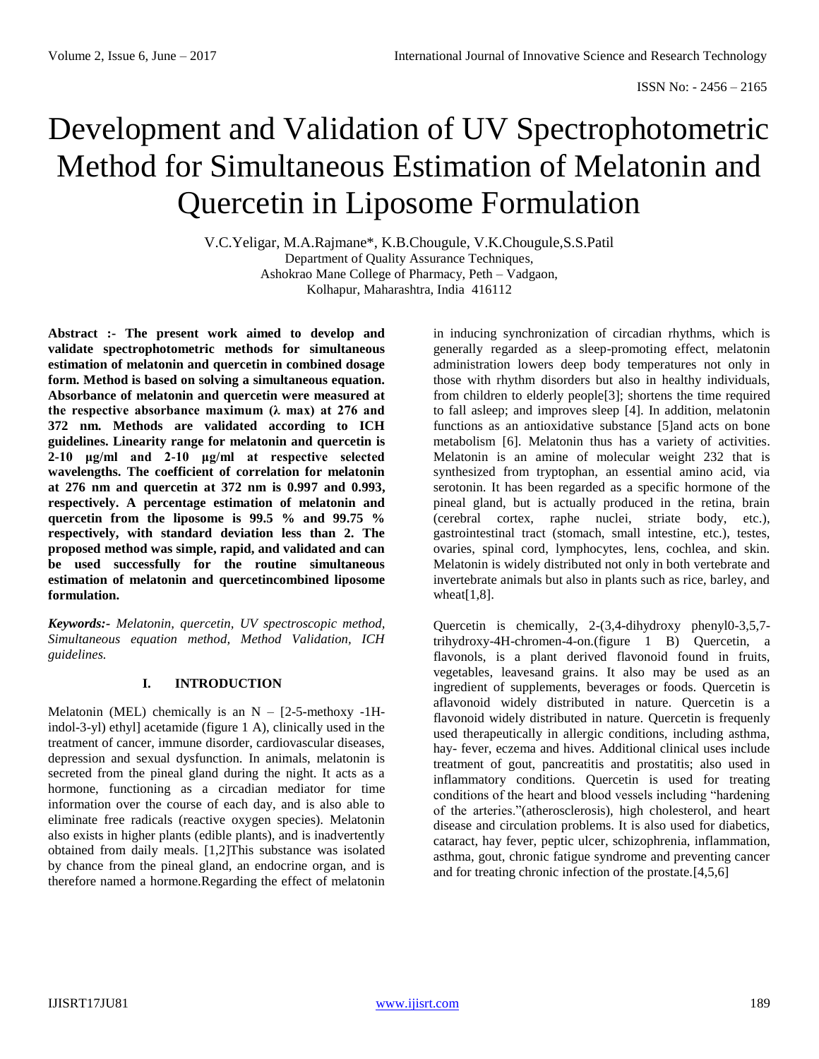# Development and Validation of UV Spectrophotometric Method for Simultaneous Estimation of Melatonin and Quercetin in Liposome Formulation

V.C.Yeligar, M.A.Rajmane\*, K.B.Chougule, V.K.Chougule,S.S.Patil Department of Quality Assurance Techniques, Ashokrao Mane College of Pharmacy, Peth – Vadgaon, Kolhapur, Maharashtra, India 416112

**Abstract :- The present work aimed to develop and validate spectrophotometric methods for simultaneous estimation of melatonin and quercetin in combined dosage form. Method is based on solving a simultaneous equation. Absorbance of melatonin and quercetin were measured at the respective absorbance maximum (λ max) at 276 and 372 nm. Methods are validated according to ICH guidelines. Linearity range for melatonin and quercetin is 2-10 μg/ml and 2-10 μg/ml at respective selected wavelengths. The coefficient of correlation for melatonin at 276 nm and quercetin at 372 nm is 0.997 and 0.993, respectively. A percentage estimation of melatonin and quercetin from the liposome is 99.5 % and 99.75 % respectively, with standard deviation less than 2. The proposed method was simple, rapid, and validated and can be used successfully for the routine simultaneous estimation of melatonin and quercetincombined liposome formulation.**

*Keywords:- Melatonin, quercetin, UV spectroscopic method, Simultaneous equation method, Method Validation, ICH guidelines.*

# **I. INTRODUCTION**

Melatonin (MEL) chemically is an  $N - [2-5-methoxy -1H$ indol-3-yl) ethyl] acetamide (figure 1 A), clinically used in the treatment of cancer, immune disorder, cardiovascular diseases, depression and sexual dysfunction. In animals, melatonin is secreted from the pineal gland during the night. It acts as a hormone, functioning as a circadian mediator for time information over the course of each day, and is also able to eliminate free radicals (reactive oxygen species). Melatonin also exists in higher plants (edible plants), and is inadvertently obtained from daily meals. [1,2]This substance was isolated by chance from the pineal gland, an endocrine organ, and is therefore named a hormone.Regarding the effect of melatonin

in inducing synchronization of circadian rhythms, which is generally regarded as a sleep-promoting effect, melatonin administration lowers deep body temperatures not only in those with rhythm disorders but also in healthy individuals, from children to elderly people[3]; shortens the time required to fall asleep; and improves sleep [4]. In addition, melatonin functions as an antioxidative substance [5]and acts on bone metabolism [6]. Melatonin thus has a variety of activities. Melatonin is an amine of molecular weight 232 that is synthesized from tryptophan, an essential amino acid, via serotonin. It has been regarded as a specific hormone of the pineal gland, but is actually produced in the retina, brain (cerebral cortex, raphe nuclei, striate body, etc.), gastrointestinal tract (stomach, small intestine, etc.), testes, ovaries, spinal cord, lymphocytes, lens, cochlea, and skin. Melatonin is widely distributed not only in both vertebrate and invertebrate animals but also in plants such as rice, barley, and wheat $[1,8]$ .

Quercetin is chemically, 2-(3,4-dihydroxy phenyl0-3,5,7 trihydroxy-4H-chromen-4-on.(figure 1 B) Quercetin, a flavonols, is a plant derived flavonoid found in fruits, vegetables, leavesand grains. It also may be used as an ingredient of supplements, beverages or foods. Quercetin is aflavonoid widely distributed in nature. Quercetin is a flavonoid widely distributed in nature. Quercetin is frequenly used therapeutically in allergic conditions, including asthma, hay- fever, eczema and hives. Additional clinical uses include treatment of gout, pancreatitis and prostatitis; also used in inflammatory conditions. Quercetin is used for treating conditions of the heart and blood vessels including "hardening of the arteries."(atherosclerosis), high cholesterol, and heart disease and circulation problems. It is also used for diabetics, cataract, hay fever, peptic ulcer, schizophrenia, inflammation, asthma, gout, chronic fatigue syndrome and preventing cancer and for treating chronic infection of the prostate.[4,5,6]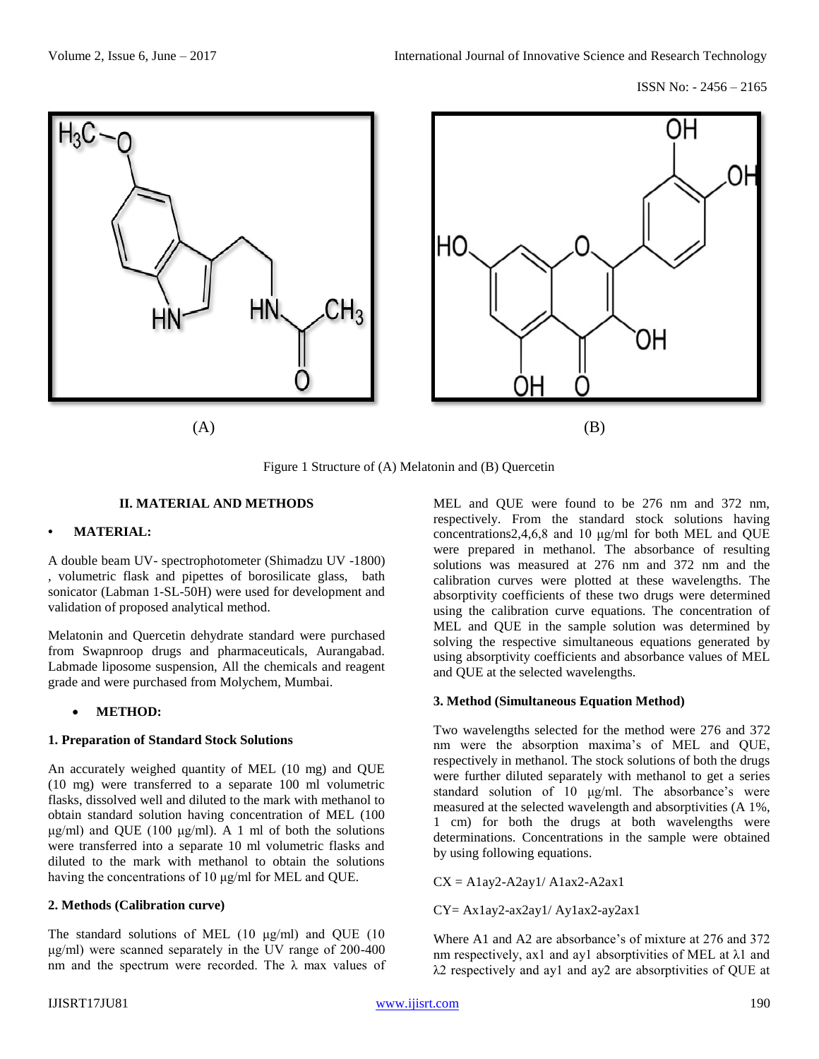ISSN No: - 2456 – 2165

ΟH



 $(A)$  (B)

Figure 1 Structure of (A) Melatonin and (B) Quercetin

### **II. MATERIAL AND METHODS**

### **• MATERIAL:**

A double beam UV- spectrophotometer (Shimadzu UV -1800) , volumetric flask and pipettes of borosilicate glass, bath sonicator (Labman 1-SL-50H) were used for development and validation of proposed analytical method.

Melatonin and Quercetin dehydrate standard were purchased from Swapnroop drugs and pharmaceuticals, Aurangabad. Labmade liposome suspension, All the chemicals and reagent grade and were purchased from Molychem, Mumbai.

### • **METHOD:**

### **1. Preparation of Standard Stock Solutions**

An accurately weighed quantity of MEL (10 mg) and QUE (10 mg) were transferred to a separate 100 ml volumetric flasks, dissolved well and diluted to the mark with methanol to obtain standard solution having concentration of MEL (100 μg/ml) and QUE (100 μg/ml). A 1 ml of both the solutions were transferred into a separate 10 ml volumetric flasks and diluted to the mark with methanol to obtain the solutions having the concentrations of 10 μg/ml for MEL and QUE.

### **2. Methods (Calibration curve)**

The standard solutions of MEL (10 μg/ml) and QUE (10 μg/ml) were scanned separately in the UV range of 200-400 nm and the spectrum were recorded. The  $\lambda$  max values of MEL and QUE were found to be 276 nm and 372 nm, respectively. From the standard stock solutions having concentrations2,4,6,8 and 10 μg/ml for both MEL and QUE were prepared in methanol. The absorbance of resulting solutions was measured at 276 nm and 372 nm and the calibration curves were plotted at these wavelengths. The absorptivity coefficients of these two drugs were determined using the calibration curve equations. The concentration of MEL and QUE in the sample solution was determined by solving the respective simultaneous equations generated by using absorptivity coefficients and absorbance values of MEL and QUE at the selected wavelengths.

### **3. Method (Simultaneous Equation Method)**

OΗ

Two wavelengths selected for the method were 276 and 372 nm were the absorption maxima's of MEL and QUE, respectively in methanol. The stock solutions of both the drugs were further diluted separately with methanol to get a series standard solution of 10 μg/ml. The absorbance's were measured at the selected wavelength and absorptivities (A 1%, 1 cm) for both the drugs at both wavelengths were determinations. Concentrations in the sample were obtained by using following equations.

 $CX = A1ay2-A2ay1/A1ax2-A2ax1$ 

CY= Ax1ay2-ax2ay1/ Ay1ax2-ay2ax1

Where A1 and A2 are absorbance's of mixture at 276 and 372 nm respectively, ax1 and ay1 absorptivities of MEL at λ1 and λ2 respectively and ay1 and ay2 are absorptivities of QUE at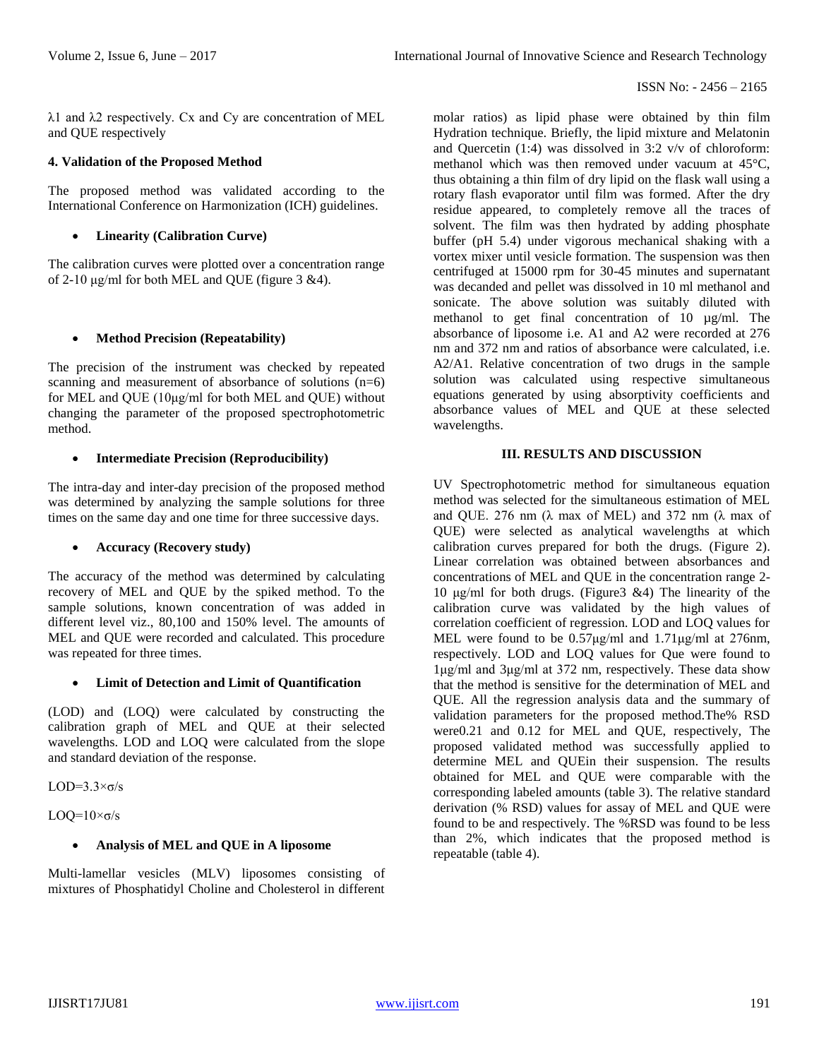λ1 and λ2 respectively. Cx and Cy are concentration of MEL and QUE respectively

## **4. Validation of the Proposed Method**

The proposed method was validated according to the International Conference on Harmonization (ICH) guidelines.

• **Linearity (Calibration Curve)**

The calibration curves were plotted over a concentration range of 2-10 μg/ml for both MEL and OUE (figure  $3 \& 4$ ).

# • **Method Precision (Repeatability)**

The precision of the instrument was checked by repeated scanning and measurement of absorbance of solutions (n=6) for MEL and QUE (10μg/ml for both MEL and QUE) without changing the parameter of the proposed spectrophotometric method.

## • **Intermediate Precision (Reproducibility)**

The intra-day and inter-day precision of the proposed method was determined by analyzing the sample solutions for three times on the same day and one time for three successive days.

# • **Accuracy (Recovery study)**

The accuracy of the method was determined by calculating recovery of MEL and QUE by the spiked method. To the sample solutions, known concentration of was added in different level viz., 80,100 and 150% level. The amounts of MEL and QUE were recorded and calculated. This procedure was repeated for three times.

# • **Limit of Detection and Limit of Quantification**

(LOD) and (LOQ) were calculated by constructing the calibration graph of MEL and QUE at their selected wavelengths. LOD and LOQ were calculated from the slope and standard deviation of the response.

LOD= $3.3\times\sigma/s$ 

 $LOO=10\times\sigma/s$ 

## • **Analysis of MEL and QUE in A liposome**

Multi-lamellar vesicles (MLV) liposomes consisting of mixtures of Phosphatidyl Choline and Cholesterol in different molar ratios) as lipid phase were obtained by thin film Hydration technique. Briefly, the lipid mixture and Melatonin and Quercetin (1:4) was dissolved in 3:2 v/v of chloroform: methanol which was then removed under vacuum at 45°C, thus obtaining a thin film of dry lipid on the flask wall using a rotary flash evaporator until film was formed. After the dry residue appeared, to completely remove all the traces of solvent. The film was then hydrated by adding phosphate buffer (pH 5.4) under vigorous mechanical shaking with a vortex mixer until vesicle formation. The suspension was then centrifuged at 15000 rpm for 30-45 minutes and supernatant was decanded and pellet was dissolved in 10 ml methanol and sonicate. The above solution was suitably diluted with methanol to get final concentration of 10 µg/ml. The absorbance of liposome i.e. A1 and A2 were recorded at 276 nm and 372 nm and ratios of absorbance were calculated, i.e. A2/A1. Relative concentration of two drugs in the sample solution was calculated using respective simultaneous equations generated by using absorptivity coefficients and absorbance values of MEL and QUE at these selected wavelengths.

## **III. RESULTS AND DISCUSSION**

UV Spectrophotometric method for simultaneous equation method was selected for the simultaneous estimation of MEL and QUE. 276 nm ( $\lambda$  max of MEL) and 372 nm ( $\lambda$  max of QUE) were selected as analytical wavelengths at which calibration curves prepared for both the drugs. (Figure 2). Linear correlation was obtained between absorbances and concentrations of MEL and QUE in the concentration range 2- 10 μg/ml for both drugs. (Figure3 &4) The linearity of the calibration curve was validated by the high values of correlation coefficient of regression. LOD and LOQ values for MEL were found to be 0.57μg/ml and 1.71μg/ml at 276nm, respectively. LOD and LOQ values for Que were found to 1μg/ml and 3μg/ml at 372 nm, respectively. These data show that the method is sensitive for the determination of MEL and QUE. All the regression analysis data and the summary of validation parameters for the proposed method.The% RSD were0.21 and 0.12 for MEL and QUE, respectively, The proposed validated method was successfully applied to determine MEL and QUEin their suspension. The results obtained for MEL and QUE were comparable with the corresponding labeled amounts (table 3). The relative standard derivation (% RSD) values for assay of MEL and QUE were found to be and respectively. The %RSD was found to be less than 2%, which indicates that the proposed method is repeatable (table 4).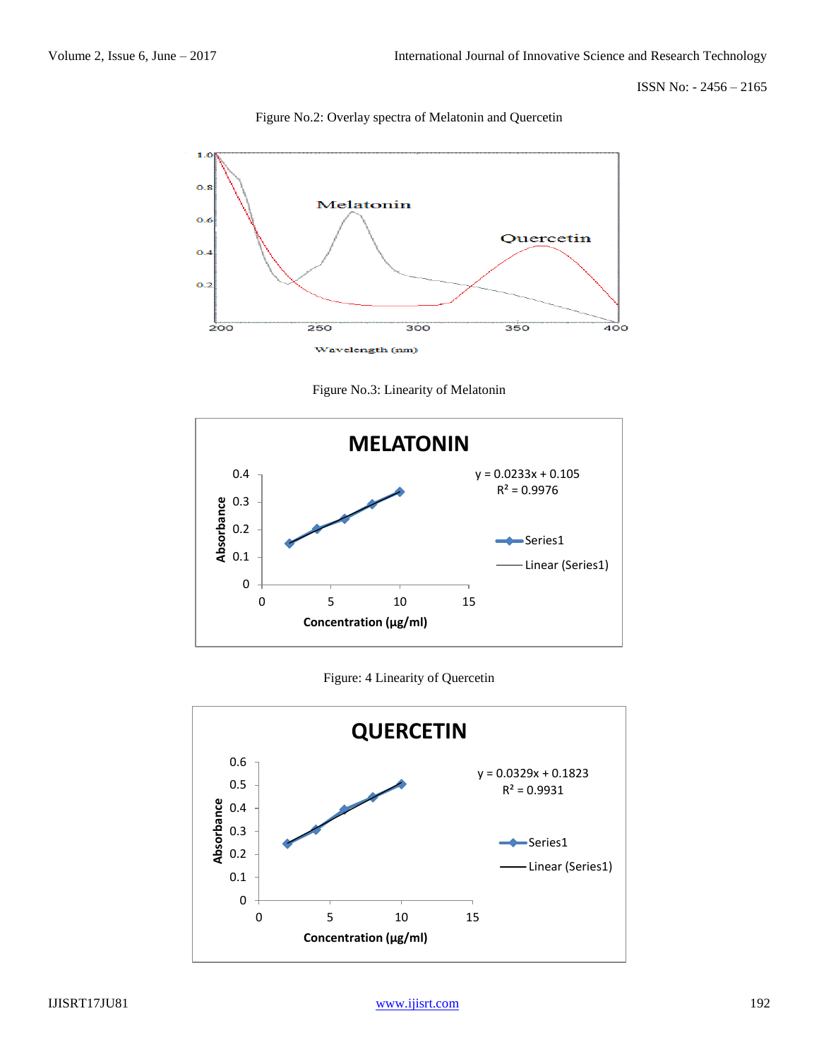ISSN No: - 2456 – 2165



Figure No.2: Overlay spectra of Melatonin and Quercetin





Figure: 4 Linearity of Quercetin

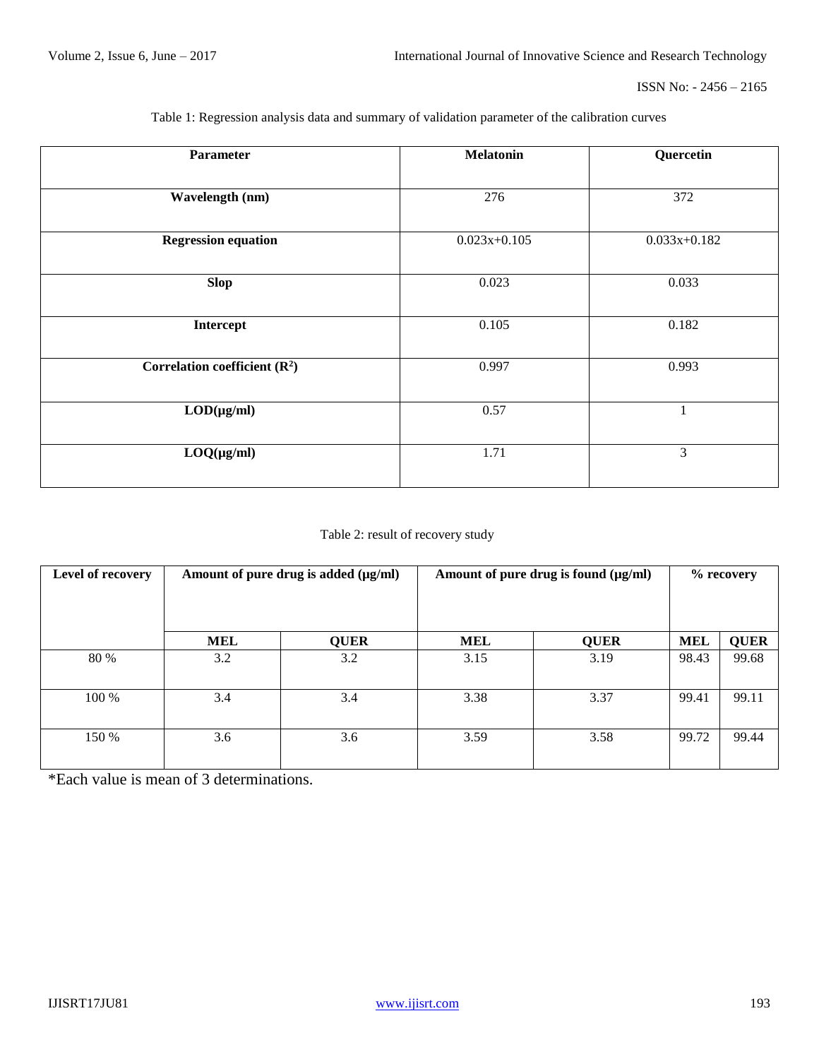| <b>Parameter</b>                | <b>Melatonin</b> | Quercetin      |  |
|---------------------------------|------------------|----------------|--|
|                                 |                  |                |  |
| Wavelength (nm)                 | 276              | 372            |  |
|                                 |                  |                |  |
| <b>Regression equation</b>      | $0.023x+0.105$   | $0.033x+0.182$ |  |
|                                 |                  |                |  |
| <b>Slop</b>                     | 0.023            | 0.033          |  |
|                                 |                  |                |  |
| Intercept                       | 0.105            | 0.182          |  |
|                                 |                  |                |  |
| Correlation coefficient $(R^2)$ | 0.997            | 0.993          |  |
|                                 |                  |                |  |
| $LOD(\mu g/ml)$                 | 0.57             | 1              |  |
|                                 |                  |                |  |
| $LOQ(\mu g/ml)$                 | 1.71             | 3              |  |
|                                 |                  |                |  |

Table 1: Regression analysis data and summary of validation parameter of the calibration curves

# Table 2: result of recovery study

| Level of recovery | Amount of pure drug is added (µg/ml) |             | Amount of pure drug is found (µg/ml) |             | % recovery |             |
|-------------------|--------------------------------------|-------------|--------------------------------------|-------------|------------|-------------|
|                   | <b>MEL</b>                           | <b>QUER</b> | MEL                                  | <b>QUER</b> | <b>MEL</b> | <b>QUER</b> |
| 80 %              | 3.2                                  | 3.2         | 3.15                                 | 3.19        | 98.43      | 99.68       |
| 100 %             | 3.4                                  | 3.4         | 3.38                                 | 3.37        | 99.41      | 99.11       |
| 150 %             | 3.6                                  | 3.6         | 3.59                                 | 3.58        | 99.72      | 99.44       |

\*Each value is mean of 3 determinations.